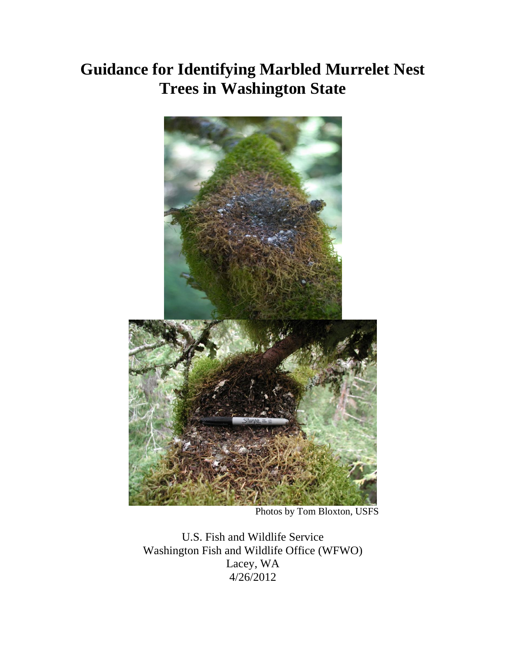## **Guidance for Identifying Marbled Murrelet Nest Trees in Washington State**



Photos by Tom Bloxton, USFS

U.S. Fish and Wildlife Service Washington Fish and Wildlife Office (WFWO) Lacey, WA 4/26/2012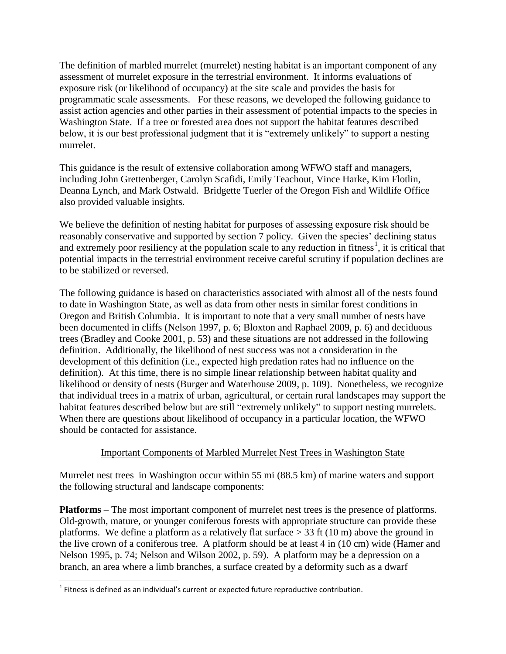The definition of marbled murrelet (murrelet) nesting habitat is an important component of any assessment of murrelet exposure in the terrestrial environment. It informs evaluations of exposure risk (or likelihood of occupancy) at the site scale and provides the basis for programmatic scale assessments. For these reasons, we developed the following guidance to assist action agencies and other parties in their assessment of potential impacts to the species in Washington State. If a tree or forested area does not support the habitat features described below, it is our best professional judgment that it is "extremely unlikely" to support a nesting murrelet.

This guidance is the result of extensive collaboration among WFWO staff and managers, including John Grettenberger, Carolyn Scafidi, Emily Teachout, Vince Harke, Kim Flotlin, Deanna Lynch, and Mark Ostwald. Bridgette Tuerler of the Oregon Fish and Wildlife Office also provided valuable insights.

We believe the definition of nesting habitat for purposes of assessing exposure risk should be reasonably conservative and supported by section 7 policy. Given the species' declining status and extremely poor resiliency at the population scale to any reduction in fitness<sup>1</sup>, it is critical that potential impacts in the terrestrial environment receive careful scrutiny if population declines are to be stabilized or reversed.

The following guidance is based on characteristics associated with almost all of the nests found to date in Washington State, as well as data from other nests in similar forest conditions in Oregon and British Columbia. It is important to note that a very small number of nests have been documented in cliffs (Nelson 1997, p. 6; Bloxton and Raphael 2009, p. 6) and deciduous trees (Bradley and Cooke 2001, p. 53) and these situations are not addressed in the following definition. Additionally, the likelihood of nest success was not a consideration in the development of this definition (i.e., expected high predation rates had no influence on the definition). At this time, there is no simple linear relationship between habitat quality and likelihood or density of nests (Burger and Waterhouse 2009, p. 109). Nonetheless, we recognize that individual trees in a matrix of urban, agricultural, or certain rural landscapes may support the habitat features described below but are still "extremely unlikely" to support nesting murrelets. When there are questions about likelihood of occupancy in a particular location, the WFWO should be contacted for assistance.

## Important Components of Marbled Murrelet Nest Trees in Washington State

Murrelet nest trees in Washington occur within 55 mi (88.5 km) of marine waters and support the following structural and landscape components:

**Platforms** – The most important component of murrelet nest trees is the presence of platforms. Old-growth, mature, or younger coniferous forests with appropriate structure can provide these platforms. We define a platform as a relatively flat surface  $>$  33 ft (10 m) above the ground in the live crown of a coniferous tree. A platform should be at least 4 in (10 cm) wide (Hamer and Nelson 1995, p. 74; Nelson and Wilson 2002, p. 59). A platform may be a depression on a branch, an area where a limb branches, a surface created by a deformity such as a dwarf

 $\overline{\phantom{a}}$ 

 $<sup>1</sup>$  Fitness is defined as an individual's current or expected future reproductive contribution.</sup>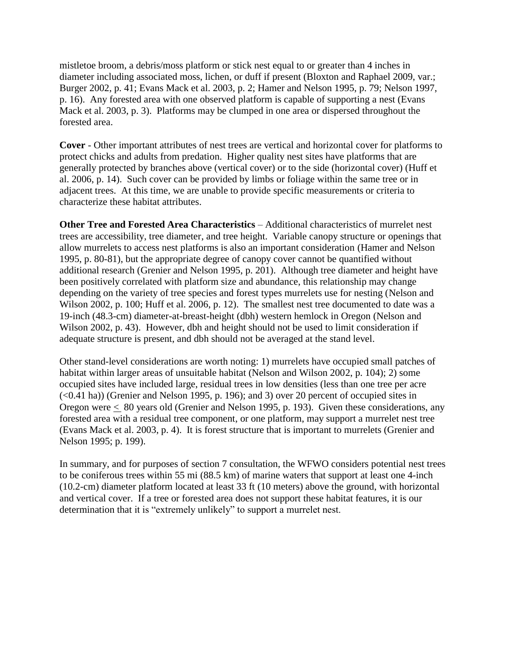mistletoe broom, a debris/moss platform or stick nest equal to or greater than 4 inches in diameter including associated moss, lichen, or duff if present (Bloxton and Raphael 2009, var.; Burger 2002, p. 41; Evans Mack et al. 2003, p. 2; Hamer and Nelson 1995, p. 79; Nelson 1997, p. 16). Any forested area with one observed platform is capable of supporting a nest (Evans Mack et al. 2003, p. 3). Platforms may be clumped in one area or dispersed throughout the forested area.

**Cover** - Other important attributes of nest trees are vertical and horizontal cover for platforms to protect chicks and adults from predation. Higher quality nest sites have platforms that are generally protected by branches above (vertical cover) or to the side (horizontal cover) (Huff et al. 2006, p. 14). Such cover can be provided by limbs or foliage within the same tree or in adjacent trees. At this time, we are unable to provide specific measurements or criteria to characterize these habitat attributes.

**Other Tree and Forested Area Characteristics** – Additional characteristics of murrelet nest trees are accessibility, tree diameter, and tree height. Variable canopy structure or openings that allow murrelets to access nest platforms is also an important consideration (Hamer and Nelson 1995, p. 80-81), but the appropriate degree of canopy cover cannot be quantified without additional research (Grenier and Nelson 1995, p. 201). Although tree diameter and height have been positively correlated with platform size and abundance, this relationship may change depending on the variety of tree species and forest types murrelets use for nesting (Nelson and Wilson 2002, p. 100; Huff et al. 2006, p. 12). The smallest nest tree documented to date was a 19-inch (48.3-cm) diameter-at-breast-height (dbh) western hemlock in Oregon (Nelson and Wilson 2002, p. 43). However, dbh and height should not be used to limit consideration if adequate structure is present, and dbh should not be averaged at the stand level.

Other stand-level considerations are worth noting: 1) murrelets have occupied small patches of habitat within larger areas of unsuitable habitat (Nelson and Wilson 2002, p. 104); 2) some occupied sites have included large, residual trees in low densities (less than one tree per acre (<0.41 ha)) (Grenier and Nelson 1995, p. 196); and 3) over 20 percent of occupied sites in Oregon were < 80 years old (Grenier and Nelson 1995, p. 193). Given these considerations, any forested area with a residual tree component, or one platform, may support a murrelet nest tree (Evans Mack et al. 2003, p. 4). It is forest structure that is important to murrelets (Grenier and Nelson 1995; p. 199).

In summary, and for purposes of section 7 consultation, the WFWO considers potential nest trees to be coniferous trees within 55 mi (88.5 km) of marine waters that support at least one 4-inch (10.2-cm) diameter platform located at least 33 ft (10 meters) above the ground, with horizontal and vertical cover. If a tree or forested area does not support these habitat features, it is our determination that it is "extremely unlikely" to support a murrelet nest.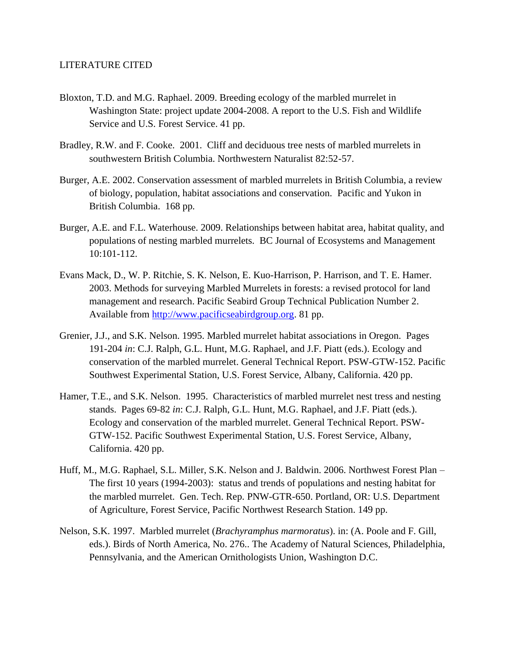## LITERATURE CITED

- Bloxton, T.D. and M.G. Raphael. 2009. Breeding ecology of the marbled murrelet in Washington State: project update 2004-2008. A report to the U.S. Fish and Wildlife Service and U.S. Forest Service. 41 pp.
- Bradley, R.W. and F. Cooke. 2001. Cliff and deciduous tree nests of marbled murrelets in southwestern British Columbia. Northwestern Naturalist 82:52-57.
- Burger, A.E. 2002. Conservation assessment of marbled murrelets in British Columbia, a review of biology, population, habitat associations and conservation. Pacific and Yukon in British Columbia. 168 pp.
- Burger, A.E. and F.L. Waterhouse. 2009. Relationships between habitat area, habitat quality, and populations of nesting marbled murrelets. BC Journal of Ecosystems and Management 10:101-112.
- Evans Mack, D., W. P. Ritchie, S. K. Nelson, E. Kuo-Harrison, P. Harrison, and T. E. Hamer. 2003. Methods for surveying Marbled Murrelets in forests: a revised protocol for land management and research. Pacific Seabird Group Technical Publication Number 2. Available from http://www.pacificseabirdgroup.org. 81 pp.
- Grenier, J.J., and S.K. Nelson. 1995. Marbled murrelet habitat associations in Oregon. Pages 191-204 *in*: C.J. Ralph, G.L. Hunt, M.G. Raphael, and J.F. Piatt (eds.). Ecology and conservation of the marbled murrelet. General Technical Report. PSW-GTW-152. Pacific Southwest Experimental Station, U.S. Forest Service, Albany, California. 420 pp.
- Hamer, T.E., and S.K. Nelson. 1995. Characteristics of marbled murrelet nest tress and nesting stands. Pages 69-82 *in*: C.J. Ralph, G.L. Hunt, M.G. Raphael, and J.F. Piatt (eds.). Ecology and conservation of the marbled murrelet. General Technical Report. PSW-GTW-152. Pacific Southwest Experimental Station, U.S. Forest Service, Albany, California. 420 pp.
- Huff, M., M.G. Raphael, S.L. Miller, S.K. Nelson and J. Baldwin. 2006. Northwest Forest Plan The first 10 years (1994-2003): status and trends of populations and nesting habitat for the marbled murrelet. Gen. Tech. Rep. PNW-GTR-650. Portland, OR: U.S. Department of Agriculture, Forest Service, Pacific Northwest Research Station. 149 pp.
- Nelson, S.K. 1997. Marbled murrelet (*Brachyramphus marmoratus*). in: (A. Poole and F. Gill, eds.). Birds of North America, No. 276.. The Academy of Natural Sciences, Philadelphia, Pennsylvania, and the American Ornithologists Union, Washington D.C.